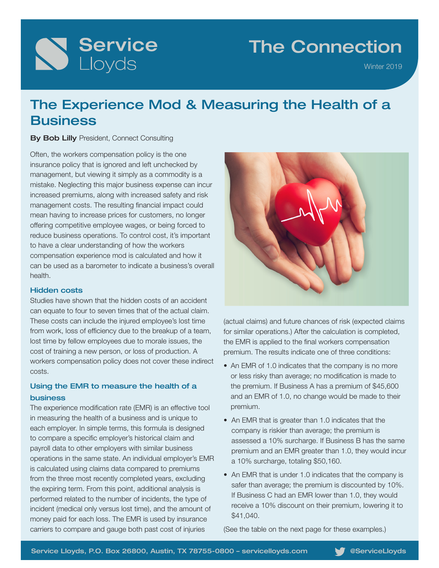

## The Connection

Winter 2019

## The Experience Mod & Measuring the Health of a **Business**

#### **By Bob Lilly** President, Connect Consulting

Often, the workers compensation policy is the one insurance policy that is ignored and left unchecked by management, but viewing it simply as a commodity is a mistake. Neglecting this major business expense can incur increased premiums, along with increased safety and risk management costs. The resulting financial impact could mean having to increase prices for customers, no longer offering competitive employee wages, or being forced to reduce business operations. To control cost, it's important to have a clear understanding of how the workers compensation experience mod is calculated and how it can be used as a barometer to indicate a business's overall health.

#### Hidden costs

Studies have shown that the hidden costs of an accident can equate to four to seven times that of the actual claim. These costs can include the injured employee's lost time from work, loss of efficiency due to the breakup of a team, lost time by fellow employees due to morale issues, the cost of training a new person, or loss of production. A workers compensation policy does not cover these indirect costs.

#### Using the EMR to measure the health of a business

The experience modification rate (EMR) is an effective tool in measuring the health of a business and is unique to each employer. In simple terms, this formula is designed to compare a specific employer's historical claim and payroll data to other employers with similar business operations in the same state. An individual employer's EMR is calculated using claims data compared to premiums from the three most recently completed years, excluding the expiring term. From this point, additional analysis is performed related to the number of incidents, the type of incident (medical only versus lost time), and the amount of money paid for each loss. The EMR is used by insurance carriers to compare and gauge both past cost of injuries



(actual claims) and future chances of risk (expected claims for similar operations.) After the calculation is completed, the EMR is applied to the final workers compensation premium. The results indicate one of three conditions:

- An EMR of 1.0 indicates that the company is no more or less risky than average; no modification is made to the premium. If Business A has a premium of \$45,600 and an EMR of 1.0, no change would be made to their premium.
- An EMR that is greater than 1.0 indicates that the company is riskier than average; the premium is assessed a 10% surcharge. If Business B has the same premium and an EMR greater than 1.0, they would incur a 10% surcharge, totaling \$50,160.
- An EMR that is under 1.0 indicates that the company is safer than average; the premium is discounted by 10%. If Business C had an EMR lower than 1.0, they would receive a 10% discount on their premium, lowering it to \$41,040.

(See the table on the next page for these examples.)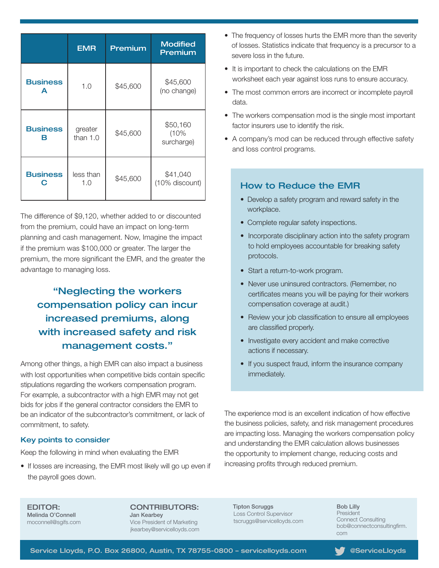|                      | <b>EMR</b>            | Premium  | <b>Modified</b><br>Premium     |
|----------------------|-----------------------|----------|--------------------------------|
| <b>Business</b><br>A | 1.0                   | \$45,600 | \$45,600<br>(no change)        |
| <b>Business</b><br>R | greater<br>than $1.0$ | \$45,600 | \$50,160<br>(10%<br>surcharge) |
| <b>Business</b>      | less than<br>1.0      | \$45,600 | \$41,040<br>(10% discount)     |

The difference of \$9,120, whether added to or discounted from the premium, could have an impact on long-term planning and cash management. Now, Imagine the impact if the premium was \$100,000 or greater. The larger the premium, the more significant the EMR, and the greater the advantage to managing loss.

### "Neglecting the workers compensation policy can incur increased premiums, along with increased safety and risk management costs."

Among other things, a high EMR can also impact a business with lost opportunities when competitive bids contain specific stipulations regarding the workers compensation program. For example, a subcontractor with a high EMR may not get bids for jobs if the general contractor considers the EMR to be an indicator of the subcontractor's commitment, or lack of commitment, to safety.

#### Key points to consider

Keep the following in mind when evaluating the EMR

• If losses are increasing, the EMR most likely will go up even if the payroll goes down.

- The frequency of losses hurts the EMR more than the severity of losses. Statistics indicate that frequency is a precursor to a severe loss in the future.
- It is important to check the calculations on the EMR worksheet each year against loss runs to ensure accuracy.
- The most common errors are incorrect or incomplete payroll data.
- The workers compensation mod is the single most important factor insurers use to identify the risk.
- A company's mod can be reduced through effective safety and loss control programs.

#### How to Reduce the EMR

- Develop a safety program and reward safety in the workplace.
- Complete regular safety inspections.
- Incorporate disciplinary action into the safety program to hold employees accountable for breaking safety protocols.
- Start a return-to-work program.
- Never use uninsured contractors. (Remember, no certificates means you will be paying for their workers compensation coverage at audit.)
- Review your job classification to ensure all employees are classified properly.
- Investigate every accident and make corrective actions if necessary.
- If you suspect fraud, inform the insurance company immediately.

The experience mod is an excellent indication of how effective the business policies, safety, and risk management procedures are impacting loss. Managing the workers compensation policy and understanding the EMR calculation allows businesses the opportunity to implement change, reducing costs and increasing profits through reduced premium.

EDITOR: Melinda O'Connell moconnell@sgifs.com

CONTRIBUTORS: Jan Kearbey Vice President of Marketing

jkearbey@servicelloyds.com

Tipton Scruggs Loss Control Supervisor tscruggs@servicelloyds.com Bob Lilly President Connect Consulting bob@connectconsultingfirm. com

Service Lloyds, P.O. Box 26800, Austin, TX 78755-0800 - servicelloyds.com @ServiceLloyds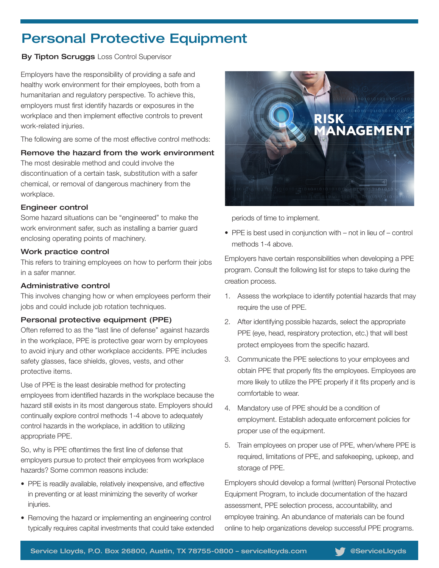## Personal Protective Equipment

#### **By Tipton Scruggs Loss Control Supervisor**

Employers have the responsibility of providing a safe and healthy work environment for their employees, both from a humanitarian and regulatory perspective. To achieve this, employers must first identify hazards or exposures in the workplace and then implement effective controls to prevent work-related injuries.

The following are some of the most effective control methods:

#### Remove the hazard from the work environment

The most desirable method and could involve the discontinuation of a certain task, substitution with a safer chemical, or removal of dangerous machinery from the workplace.

#### Engineer control

Some hazard situations can be "engineered" to make the work environment safer, such as installing a barrier guard enclosing operating points of machinery.

#### Work practice control

This refers to training employees on how to perform their jobs in a safer manner.

#### Administrative control

This involves changing how or when employees perform their jobs and could include job rotation techniques.

#### Personal protective equipment (PPE)

Often referred to as the "last line of defense" against hazards in the workplace, PPE is protective gear worn by employees to avoid injury and other workplace accidents. PPE includes safety glasses, face shields, gloves, vests, and other protective items.

Use of PPE is the least desirable method for protecting employees from identified hazards in the workplace because the hazard still exists in its most dangerous state. Employers should continually explore control methods 1-4 above to adequately control hazards in the workplace, in addition to utilizing appropriate PPE.

So, why is PPE oftentimes the first line of defense that employers pursue to protect their employees from workplace hazards? Some common reasons include:

- PPE is readily available, relatively inexpensive, and effective in preventing or at least minimizing the severity of worker injuries.
- Removing the hazard or implementing an engineering control typically requires capital investments that could take extended



periods of time to implement.

• PPE is best used in conjunction with – not in lieu of – control methods 1-4 above.

Employers have certain responsibilities when developing a PPE program. Consult the following list for steps to take during the creation process.

- 1. Assess the workplace to identify potential hazards that may require the use of PPE.
- 2. After identifying possible hazards, select the appropriate PPE (eye, head, respiratory protection, etc.) that will best protect employees from the specific hazard.
- 3. Communicate the PPE selections to your employees and obtain PPE that properly fits the employees. Employees are more likely to utilize the PPE properly if it fits properly and is comfortable to wear.
- 4. Mandatory use of PPE should be a condition of employment. Establish adequate enforcement policies for proper use of the equipment.
- 5. Train employees on proper use of PPE, when/where PPE is required, limitations of PPE, and safekeeping, upkeep, and storage of PPE.

Employers should develop a formal (written) Personal Protective Equipment Program, to include documentation of the hazard assessment, PPE selection process, accountability, and employee training. An abundance of materials can be found online to help organizations develop successful PPE programs.